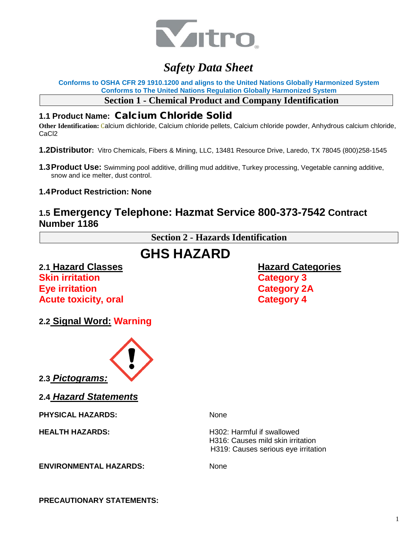

# *Safety Data Sheet*

**Conforms to OSHA CFR 29 1910.1200 and aligns to the United Nations Globally Harmonized System Conforms to The United Nations Regulation Globally Harmonized System**

**Section 1 - Chemical Product and Company Identification**

### **1.1 Product Name:** Calcium Chloride Solid

**Other Identification:** Calcium dichloride, Calcium chloride pellets, Calcium chloride powder, Anhydrous calcium chloride, CaCl2

**1.2Distributor:** Vitro Chemicals, Fibers & Mining, LLC, 13481 Resource Drive, Laredo, TX 78045 (800)258-1545

**1.3Product Use:** Swimming pool additive, drilling mud additive, Turkey processing, Vegetable canning additive, snow and ice melter, dust control.

### **1.4Product Restriction: None**

# **1.5 Emergency Telephone: Hazmat Service 800-373-7542 Contract Number 1186**

**Section 2 - Hazards Identification**

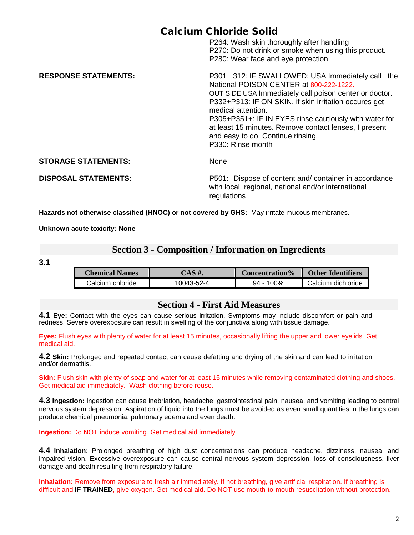P264: Wash skin thoroughly after handling P270: Do not drink or smoke when using this product. P280: Wear face and eye protection

**RESPONSE STATEMENTS:** P301 +312: IF SWALLOWED: USA Immediately call the National POISON CENTER at 800-222-1222. OUT SIDE USA Immediately call poison center or doctor. P332+P313: IF ON SKIN, if skin irritation occures get medical attention. P305+P351+: IF IN EYES rinse cautiously with water for at least 15 minutes. Remove contact lenses, I present and easy to do. Continue rinsing. P330: Rinse month

#### **STORAGE STATEMENTS:** None

**DISPOSAL STATEMENTS:** P501: Dispose of content and/ container in accordance with local, regional, national and/or international regulations

**Hazards not otherwise classified (HNOC) or not covered by GHS:** May irritate mucous membranes.

**Unknown acute toxicity: None**

### **Section 3 - Composition / Information on Ingredients**

**3.1**

| <b>Chemical Names</b> | 7AS #.     | Concentration% | <b>Other Identifiers</b> |  |
|-----------------------|------------|----------------|--------------------------|--|
| Calcium chloride      | 10043-52-4 | $94 - 100\%$   | Calcium dichloride       |  |

### **Section 4 - First Aid Measures**

**4.1 Eye:** Contact with the eyes can cause serious irritation. Symptoms may include discomfort or pain and redness. Severe overexposure can result in swelling of the conjunctiva along with tissue damage.

**Eyes:** Flush eyes with plenty of water for at least 15 minutes, occasionally lifting the upper and lower eyelids. Get medical aid.

**4.2 Skin:** Prolonged and repeated contact can cause defatting and drying of the skin and can lead to irritation and/or dermatitis.

**Skin:** Flush skin with plenty of soap and water for at least 15 minutes while removing contaminated clothing and shoes. Get medical aid immediately. Wash clothing before reuse.

**4.3 Ingestion:** Ingestion can cause inebriation, headache, gastrointestinal pain, nausea, and vomiting leading to central nervous system depression. Aspiration of liquid into the lungs must be avoided as even small quantities in the lungs can produce chemical pneumonia, pulmonary edema and even death.

**Ingestion:** Do NOT induce vomiting. Get medical aid immediately.

**4.4 Inhalation:** Prolonged breathing of high dust concentrations can produce headache, dizziness, nausea, and impaired vision. Excessive overexposure can cause central nervous system depression, loss of consciousness, liver damage and death resulting from respiratory failure.

**Inhalation:** Remove from exposure to fresh air immediately. If not breathing, give artificial respiration. If breathing is difficult and **IF TRAINED**, give oxygen. Get medical aid. Do NOT use mouth-to-mouth resuscitation without protection.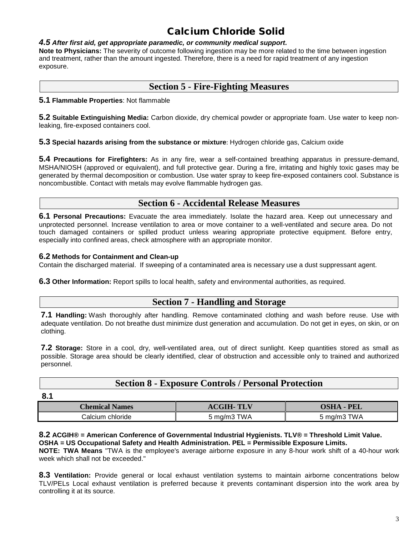#### *4.5 After first aid, get appropriate paramedic, or community medical support.*

**Note to Physicians:** The severity of outcome following ingestion may be more related to the time between ingestion and treatment, rather than the amount ingested. Therefore, there is a need for rapid treatment of any ingestion exposure.

### **Section 5 - Fire-Fighting Measures**

#### **5.1 Flammable Properties**: Not flammable

**5.2 Suitable Extinguishing Media:** Carbon dioxide, dry chemical powder or appropriate foam. Use water to keep nonleaking, fire-exposed containers cool.

**5.3 Special hazards arising from the substance or mixture**: Hydrogen chloride gas, Calcium oxide

**5.4 Precautions for Firefighters:** As in any fire, wear a self-contained breathing apparatus in pressure-demand, MSHA/NIOSH (approved or equivalent), and full protective gear. During a fire, irritating and highly toxic gases may be generated by thermal decomposition or combustion. Use water spray to keep fire-exposed containers cool. Substance is noncombustible. Contact with metals may evolve flammable hydrogen gas.

### **Section 6 - Accidental Release Measures**

**6.1 Personal Precautions:** Evacuate the area immediately. Isolate the hazard area. Keep out unnecessary and unprotected personnel. Increase ventilation to area or move container to a well-ventilated and secure area. Do not touch damaged containers or spilled product unless wearing appropriate protective equipment. Before entry, especially into confined areas, check atmosphere with an appropriate monitor.

#### **6.2 Methods for Containment and Clean-up**

Contain the discharged material. If sweeping of a contaminated area is necessary use a dust suppressant agent.

**6.3 Other Information:** Report spills to local health, safety and environmental authorities, as required.

### **Section 7 - Handling and Storage**

**7.1 Handling:** Wash thoroughly after handling. Remove contaminated clothing and wash before reuse. Use with adequate ventilation. Do not breathe dust minimize dust generation and accumulation. Do not get in eyes, on skin, or on clothing.

**7.2 Storage:** Store in a cool, dry, well-ventilated area, out of direct sunlight. Keep quantities stored as small as possible. Storage area should be clearly identified, clear of obstruction and accessible only to trained and authorized personnel.

### **Section 8 - Exposure Controls / Personal Protection**

**8.1**

| <b>Chemical Names</b>    | <b>TLV</b><br><b>ACGIH-7</b> | <b>OSHA -</b><br><b>PEL</b> |
|--------------------------|------------------------------|-----------------------------|
| شاعات ټ $\,$<br>chloride | mg/m3 TWA                    | <b>TWA</b><br>5 mg/m3       |

**8.2 ACGIH® = American Conference of Governmental Industrial Hygienists. TLV® = Threshold Limit Value. OSHA = US Occupational Safety and Health Administration. PEL = Permissible Exposure Limits. NOTE: TWA Means** "TWA is the employee's average airborne exposure in any 8-hour work shift of a 40-hour work week which shall not be exceeded."

**8.3 Ventilation:** Provide general or local exhaust ventilation systems to maintain airborne concentrations below TLV/PELs Local exhaust ventilation is preferred because it prevents contaminant dispersion into the work area by controlling it at its source.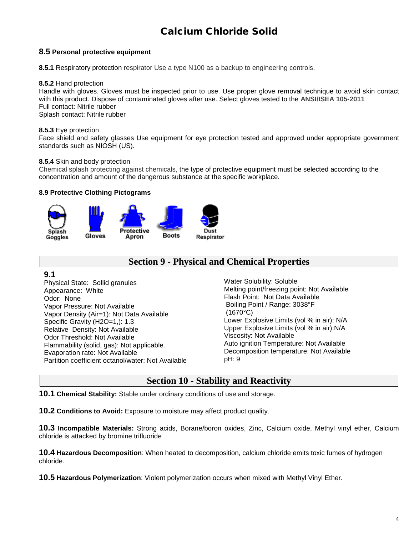#### **8.5 Personal protective equipment**

**8.5.1** Respiratory protection respirator Use a type N100 as a backup to engineering controls.

#### **8.5.2** Hand protection

Handle with gloves. Gloves must be inspected prior to use. Use proper glove removal technique to avoid skin contact with this product. Dispose of contaminated gloves after use. Select gloves tested to the **ANSI/ISEA 105-2011** Full contact: Nitrile rubber Splash contact: Nitrile rubber

#### **8.5.3** Eye protection

Face shield and safety glasses Use equipment for eye protection tested and approved under appropriate government standards such as NIOSH (US).

#### **8.5.4** Skin and body protection

Chemical splash protecting against chemicals, the type of protective equipment must be selected according to the concentration and amount of the dangerous substance at the specific workplace.

#### **8.9 Protective Clothing Pictograms**



### **Section 9 - Physical and Chemical Properties**

#### **9.1**

Physical State: Sollid granules Appearance: White Odor: None Vapor Pressure: Not Available Vapor Density (Air=1): Not Data Available Specific Gravity (H2O=1,): 1.3 Relative Density: Not Available Odor Threshold: Not Available Flammability (solid, gas): Not applicable. Evaporation rate: Not Available Partition coefficient octanol/water: Not Available Water Solubility: Soluble Melting point/freezing point: Not Available Flash Point: Not Data Available Boiling Point / Range: 3038°F (1670°C) Lower Explosive Limits (vol % in air): N/A Upper Explosive Limits (vol % in air):N/A Viscosity: Not Available Auto ignition Temperature: Not Available Decomposition temperature: Not Available pH: 9

### **Section 10 - Stability and Reactivity**

**10.1 Chemical Stability:** Stable under ordinary conditions of use and storage.

**10.2 Conditions to Avoid:** Exposure to moisture may affect product quality.

**10.3 Incompatible Materials:** Strong acids, Borane/boron oxides, Zinc, Calcium oxide, Methyl vinyl ether, Calcium chloride is attacked by bromine trifluoride

**10.4 Hazardous Decomposition**: When heated to decomposition, calcium chloride emits toxic fumes of hydrogen chloride.

**10.5 Hazardous Polymerization**: Violent polymerization occurs when mixed with Methyl Vinyl Ether.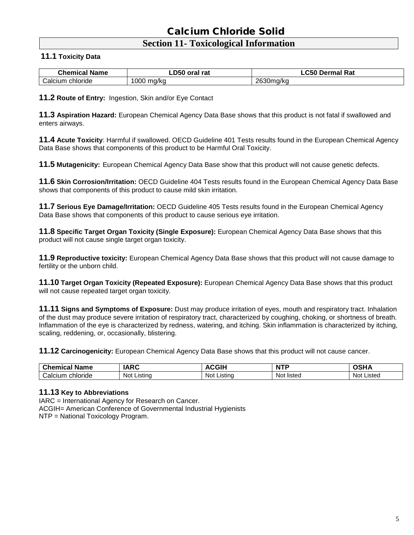### **Section 11- Toxicological Information**

#### **11.1 Toxicity Data**

| <b>Chemical Name</b>  | LD50 oral rat | <b>LC50 Dermal Rat</b> |
|-----------------------|---------------|------------------------|
| Calcium<br>, chloride | 1000 mg/kg    | 2630mg/kg              |

**11.2 Route of Entry:** Ingestion, Skin and/or Eye Contact

**11.3 Aspiration Hazard:** European Chemical Agency Data Base shows that this product is not fatal if swallowed and enters airways.

**11.4 Acute Toxicity**: Harmful if swallowed. OECD Guideline 401 Tests results found in the European Chemical Agency Data Base shows that components of this product to be Harmful Oral Toxicity.

**11.5 Mutagenicity:** European Chemical Agency Data Base show that this product will not cause genetic defects.

**11.6 Skin Corrosion/Irritation:** OECD Guideline 404 Tests results found in the European Chemical Agency Data Base shows that components of this product to cause mild skin irritation.

**11.7 Serious Eye Damage/Irritation:** OECD Guideline 405 Tests results found in the European Chemical Agency Data Base shows that components of this product to cause serious eye irritation.

**11.8 Specific Target Organ Toxicity (Single Exposure):** European Chemical Agency Data Base shows that this product will not cause single target organ toxicity.

**11.9 Reproductive toxicity:** European Chemical Agency Data Base shows that this product will not cause damage to fertility or the unborn child.

**11.10 Target Organ Toxicity (Repeated Exposure):** European Chemical Agency Data Base shows that this product will not cause repeated target organ toxicity.

**11.11 Signs and Symptoms of Exposure:** Dust may produce irritation of eyes, mouth and respiratory tract. Inhalation of the dust may produce severe irritation of respiratory tract, characterized by coughing, choking, or shortness of breath. Inflammation of the eye is characterized by redness, watering, and itching. Skin inflammation is characterized by itching, scaling, reddening, or, occasionally, blistering.

**11.12 Carcinogenicity:** European Chemical Agency Data Base shows that this product will not cause cancer.

| . .<br>$\sim$<br><b>Name</b><br>…emic≏ | $\overline{D}$<br>AЬ<br>$\mathbf{u}$ | $\sim$<br>GP | ITE<br>N   | ⌒∝⊔^<br> |
|----------------------------------------|--------------------------------------|--------------|------------|----------|
| -                                      | .istina                              | Νοι          | <b>Not</b> | Listed   |
| chloride                               | <b>Not</b>                           | Listino      | listed     | Not.     |
| <i>Jalcium</i>                         |                                      |              |            |          |

#### **11.13 Key to Abbreviations**

IARC = International Agency for Research on Cancer. ACGIH= American Conference of Governmental Industrial Hygienists NTP = National Toxicology Program.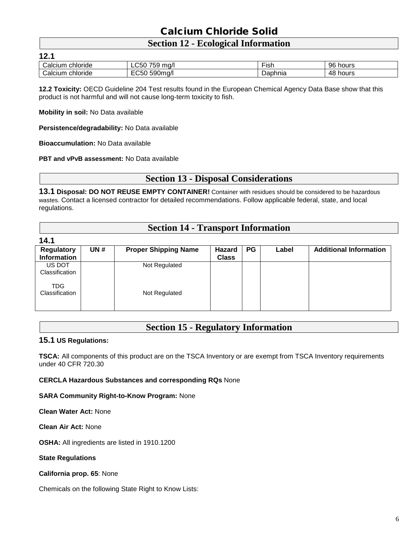### **Section 12 - Ecological Information**

| 10.<br>. .       |                                  |                    |             |
|------------------|----------------------------------|--------------------|-------------|
| Calcium chloride | 759<br>∟C50 <sup>-</sup><br>ma/l | $- \cdot$<br>Eist. | 96<br>hours |
| Calcium chloride | 590ma/<br>$\sim$<br>∟∪∪∪         | Daphnia            | 48<br>hours |

**12.2 Toxicity:** OECD Guideline 204 Test results found in the European Chemical Agency Data Base show that this product is not harmful and will not cause long-term toxicity to fish.

**Mobility in soil:** No Data available

**Persistence/degradability:** No Data available

**Bioaccumulation:** No Data available

**PBT and vPvB assessment:** No Data available

### **Section 13 - Disposal Considerations**

**13.1 Disposal: DO NOT REUSE EMPTY CONTAINER!** Container with residues should be considered to be hazardous wastes. Contact a licensed contractor for detailed recommendations. Follow applicable federal, state, and local regulations.

### **Section 14 - Transport Information**

| 14.1               |     |                             |              |    |       |                               |
|--------------------|-----|-----------------------------|--------------|----|-------|-------------------------------|
| <b>Regulatory</b>  | UN# | <b>Proper Shipping Name</b> | Hazard       | PG | Label | <b>Additional Information</b> |
| <b>Information</b> |     |                             | <b>Class</b> |    |       |                               |
| US DOT             |     | Not Regulated               |              |    |       |                               |
| Classification     |     |                             |              |    |       |                               |
|                    |     |                             |              |    |       |                               |
| TDG.               |     |                             |              |    |       |                               |
| Classification     |     | Not Regulated               |              |    |       |                               |
|                    |     |                             |              |    |       |                               |
|                    |     |                             |              |    |       |                               |

### **Section 15 - Regulatory Information**

#### **15.1 US Regulations:**

**TSCA:** All components of this product are on the TSCA Inventory or are exempt from TSCA Inventory requirements under 40 CFR 720.30

**CERCLA Hazardous Substances and corresponding RQs** None

**SARA Community Right-to-Know Program:** None

**Clean Water Act:** None

**Clean Air Act:** None

**OSHA:** All ingredients are listed in 1910.1200

**State Regulations**

**California prop. 65**: None

Chemicals on the following State Right to Know Lists: